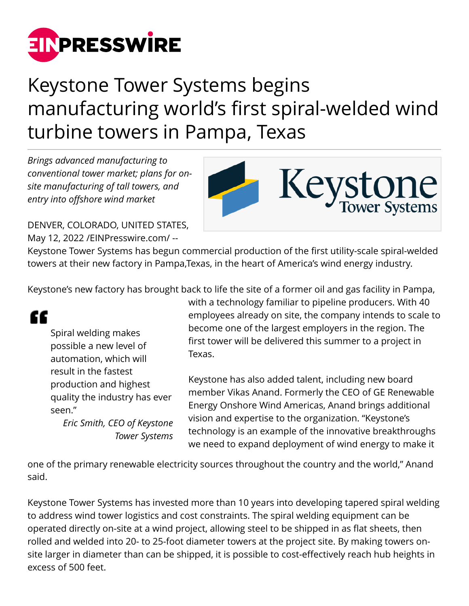

## Keystone Tower Systems begins manufacturing world's first spiral-welded wind turbine towers in Pampa, Texas

*Brings advanced manufacturing to conventional tower market; plans for onsite manufacturing of tall towers, and entry into offshore wind market*



DENVER, COLORADO, UNITED STATES, May 12, 2022 [/EINPresswire.com](http://www.einpresswire.com)/ --

Keystone Tower Systems has begun commercial production of the first utility-scale spiral-welded towers at their new factory in Pampa,Texas, in the heart of America's wind energy industry.

Keystone's new factory has brought back to life the site of a former oil and gas facility in Pampa,



Spiral welding makes possible a new level of automation, which will result in the fastest production and highest quality the industry has ever seen."

*Eric Smith, CEO of Keystone Tower Systems* with a technology familiar to pipeline producers. With 40 employees already on site, the company intends to scale to become one of the largest employers in the region. The first tower will be delivered this summer to a project in Texas.

Keystone has also added talent, including new board member Vikas Anand. Formerly the CEO of GE Renewable Energy Onshore Wind Americas, Anand brings additional vision and expertise to the organization. "Keystone's technology is an example of the innovative breakthroughs we need to expand deployment of wind energy to make it

one of the primary renewable electricity sources throughout the country and the world," Anand said.

Keystone Tower Systems has invested more than 10 years into developing tapered spiral welding to address wind tower logistics and cost constraints. The spiral welding equipment can be operated directly on-site at a wind project, allowing steel to be shipped in as flat sheets, then rolled and welded into 20- to 25-foot diameter towers at the project site. By making towers onsite larger in diameter than can be shipped, it is possible to cost-effectively reach hub heights in excess of 500 feet.